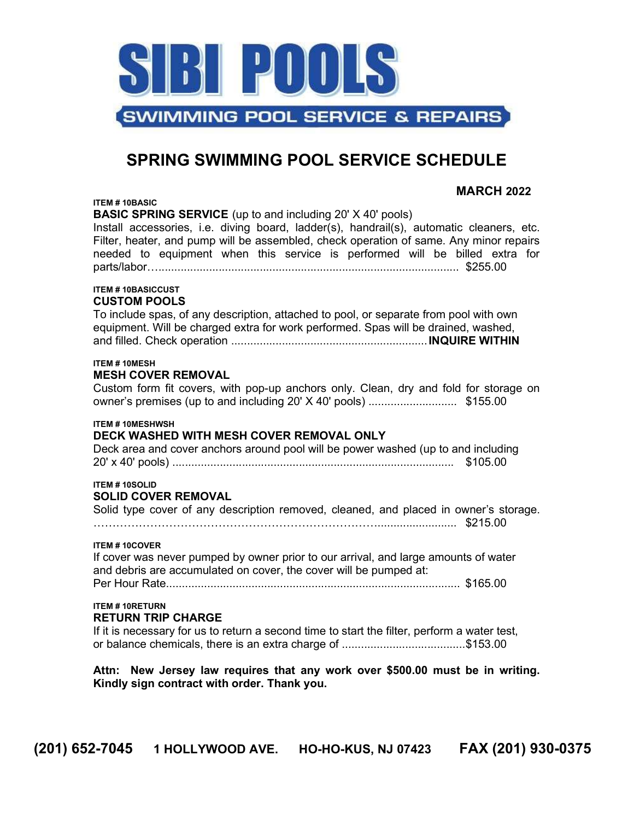

# SPRING SWIMMING POOL SERVICE SCHEDULE

MARCH 2022

#### ITEM # 10BASIC

BASIC SPRING SERVICE (up to and including 20' X 40' pools)

Install accessories, i.e. diving board, ladder(s), handrail(s), automatic cleaners, etc. Filter, heater, and pump will be assembled, check operation of same. Any minor repairs needed to equipment when this service is performed will be billed extra for parts/labor…............................................................................................... \$255.00

#### ITEM # 10BASICCUST CUSTOM POOLS

To include spas, of any description, attached to pool, or separate from pool with own equipment. Will be charged extra for work performed. Spas will be drained, washed, and filled. Check operation ..............................................................INQUIRE WITHIN

# ITEM # 10MESH

## MESH COVER REMOVAL

Custom form fit covers, with pop-up anchors only. Clean, dry and fold for storage on owner's premises (up to and including 20' X 40' pools) ............................ \$155.00

## ITEM # 10MESHWSH

# DECK WASHED WITH MESH COVER REMOVAL ONLY

Deck area and cover anchors around pool will be power washed (up to and including 20' x 40' pools) ......................................................................................... \$105.00

# ITEM # 10SOLID

## SOLID COVER REMOVAL

Solid type cover of any description removed, cleaned, and placed in owner's storage.

…………………………………………………………………......................... \$215.00

#### ITEM # 10COVER

If cover was never pumped by owner prior to our arrival, and large amounts of water and debris are accumulated on cover, the cover will be pumped at: Per Hour Rate............................................................................................. \$165.00

#### ITEM # 10RETURN RETURN TRIP CHARGE

If it is necessary for us to return a second time to start the filter, perform a water test, or balance chemicals, there is an extra charge of .......................................\$153.00

Attn: New Jersey law requires that any work over \$500.00 must be in writing. Kindly sign contract with order. Thank you.